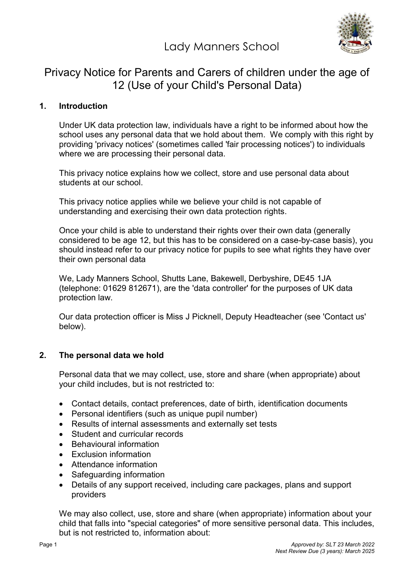Lady Manners School



# Privacy Notice for Parents and Carers of children under the age of 12 (Use of your Child's Personal Data)

## 1. Introduction

Under UK data protection law, individuals have a right to be informed about how the school uses any personal data that we hold about them. We comply with this right by providing 'privacy notices' (sometimes called 'fair processing notices') to individuals where we are processing their personal data.

This privacy notice explains how we collect, store and use personal data about students at our school.

This privacy notice applies while we believe your child is not capable of understanding and exercising their own data protection rights.

Once your child is able to understand their rights over their own data (generally considered to be age 12, but this has to be considered on a case-by-case basis), you should instead refer to our privacy notice for pupils to see what rights they have over their own personal data

We, Lady Manners School, Shutts Lane, Bakewell, Derbyshire, DE45 1JA (telephone: 01629 812671), are the 'data controller' for the purposes of UK data protection law.

Our data protection officer is Miss J Picknell, Deputy Headteacher (see 'Contact us' below).

#### 2. The personal data we hold

Personal data that we may collect, use, store and share (when appropriate) about your child includes, but is not restricted to:

- Contact details, contact preferences, date of birth, identification documents
- Personal identifiers (such as unique pupil number)
- Results of internal assessments and externally set tests
- Student and curricular records
- Behavioural information
- **Exclusion information**
- Attendance information
- Safeguarding information
- Details of any support received, including care packages, plans and support providers

We may also collect, use, store and share (when appropriate) information about your child that falls into "special categories" of more sensitive personal data. This includes, but is not restricted to, information about: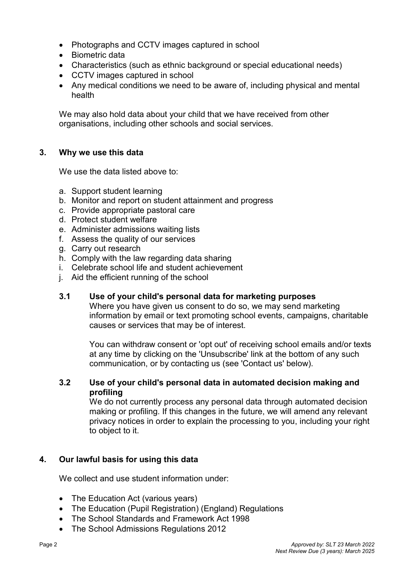- Photographs and CCTV images captured in school
- Biometric data
- Characteristics (such as ethnic background or special educational needs)
- CCTV images captured in school
- Any medical conditions we need to be aware of, including physical and mental health

We may also hold data about your child that we have received from other organisations, including other schools and social services.

## 3. Why we use this data

We use the data listed above to:

- a. Support student learning
- b. Monitor and report on student attainment and progress
- c. Provide appropriate pastoral care
- d. Protect student welfare
- e. Administer admissions waiting lists
- f. Assess the quality of our services
- g. Carry out research
- h. Comply with the law regarding data sharing
- i. Celebrate school life and student achievement
- j. Aid the efficient running of the school

## 3.1 Use of your child's personal data for marketing purposes

Where you have given us consent to do so, we may send marketing information by email or text promoting school events, campaigns, charitable causes or services that may be of interest.

You can withdraw consent or 'opt out' of receiving school emails and/or texts at any time by clicking on the 'Unsubscribe' link at the bottom of any such communication, or by contacting us (see 'Contact us' below).

#### 3.2 Use of your child's personal data in automated decision making and profiling

We do not currently process any personal data through automated decision making or profiling. If this changes in the future, we will amend any relevant privacy notices in order to explain the processing to you, including your right to object to it.

# 4. Our lawful basis for using this data

We collect and use student information under:

- The Education Act (various years)
- The Education (Pupil Registration) (England) Regulations
- The School Standards and Framework Act 1998
- The School Admissions Regulations 2012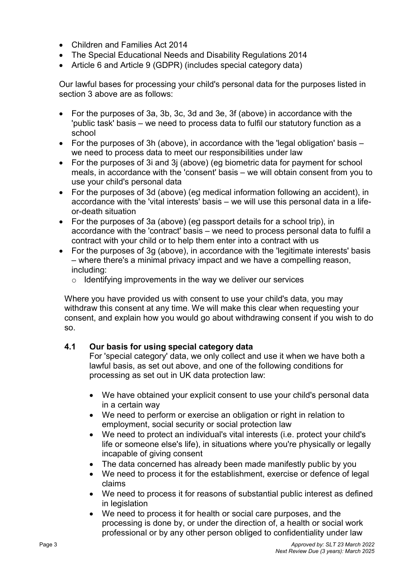- Children and Families Act 2014
- The Special Educational Needs and Disability Regulations 2014
- Article 6 and Article 9 (GDPR) (includes special category data)

Our lawful bases for processing your child's personal data for the purposes listed in section 3 above are as follows:

- For the purposes of 3a, 3b, 3c, 3d and 3e, 3f (above) in accordance with the 'public task' basis – we need to process data to fulfil our statutory function as a school
- For the purposes of 3h (above), in accordance with the 'legal obligation' basis we need to process data to meet our responsibilities under law
- For the purposes of 3i and 3j (above) (eg biometric data for payment for school meals, in accordance with the 'consent' basis – we will obtain consent from you to use your child's personal data
- For the purposes of 3d (above) (eg medical information following an accident), in accordance with the 'vital interests' basis – we will use this personal data in a lifeor-death situation
- For the purposes of 3a (above) (eg passport details for a school trip), in accordance with the 'contract' basis – we need to process personal data to fulfil a contract with your child or to help them enter into a contract with us
- For the purposes of 3g (above), in accordance with the 'legitimate interests' basis – where there's a minimal privacy impact and we have a compelling reason, including:
	- $\circ$  Identifying improvements in the way we deliver our services

Where you have provided us with consent to use your child's data, you may withdraw this consent at any time. We will make this clear when requesting your consent, and explain how you would go about withdrawing consent if you wish to do so.

#### 4.1 Our basis for using special category data

For 'special category' data, we only collect and use it when we have both a lawful basis, as set out above, and one of the following conditions for processing as set out in UK data protection law:

- We have obtained your explicit consent to use your child's personal data in a certain way
- We need to perform or exercise an obligation or right in relation to employment, social security or social protection law
- We need to protect an individual's vital interests (i.e. protect your child's life or someone else's life), in situations where you're physically or legally incapable of giving consent
- The data concerned has already been made manifestly public by you
- We need to process it for the establishment, exercise or defence of legal claims
- We need to process it for reasons of substantial public interest as defined in legislation
- We need to process it for health or social care purposes, and the processing is done by, or under the direction of, a health or social work professional or by any other person obliged to confidentiality under law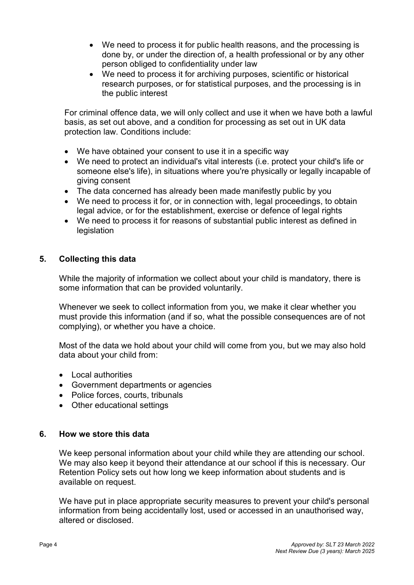- We need to process it for public health reasons, and the processing is done by, or under the direction of, a health professional or by any other person obliged to confidentiality under law
- We need to process it for archiving purposes, scientific or historical research purposes, or for statistical purposes, and the processing is in the public interest

For criminal offence data, we will only collect and use it when we have both a lawful basis, as set out above, and a condition for processing as set out in UK data protection law. Conditions include:

- We have obtained your consent to use it in a specific way
- We need to protect an individual's vital interests (i.e. protect your child's life or someone else's life), in situations where you're physically or legally incapable of giving consent
- The data concerned has already been made manifestly public by you
- We need to process it for, or in connection with, legal proceedings, to obtain legal advice, or for the establishment, exercise or defence of legal rights
- We need to process it for reasons of substantial public interest as defined in legislation

## 5. Collecting this data

While the majority of information we collect about your child is mandatory, there is some information that can be provided voluntarily.

Whenever we seek to collect information from you, we make it clear whether you must provide this information (and if so, what the possible consequences are of not complying), or whether you have a choice.

Most of the data we hold about your child will come from you, but we may also hold data about your child from:

- Local authorities
- Government departments or agencies
- Police forces, courts, tribunals
- Other educational settings

#### 6. How we store this data

We keep personal information about your child while they are attending our school. We may also keep it beyond their attendance at our school if this is necessary. Our Retention Policy sets out how long we keep information about students and is available on request.

We have put in place appropriate security measures to prevent your child's personal information from being accidentally lost, used or accessed in an unauthorised way, altered or disclosed.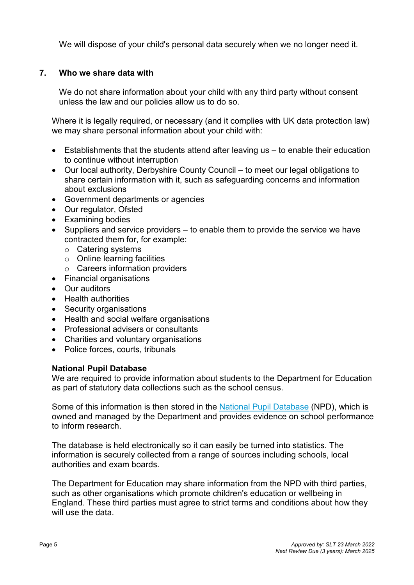We will dispose of your child's personal data securely when we no longer need it.

# 7. Who we share data with

We do not share information about your child with any third party without consent unless the law and our policies allow us to do so.

Where it is legally required, or necessary (and it complies with UK data protection law) we may share personal information about your child with:

- Establishments that the students attend after leaving us to enable their education to continue without interruption
- Our local authority, Derbyshire County Council to meet our legal obligations to share certain information with it, such as safeguarding concerns and information about exclusions
- Government departments or agencies
- Our regulator, Ofsted
- Examining bodies
- $\bullet$  Suppliers and service providers to enable them to provide the service we have contracted them for, for example:
	- o Catering systems
	- $\circ$  Online learning facilities
	- o Careers information providers
- Financial organisations
- Our auditors
- Health authorities
- Security organisations
- Health and social welfare organisations
- Professional advisers or consultants
- Charities and voluntary organisations
- Police forces, courts, tribunals

#### National Pupil Database

We are required to provide information about students to the Department for Education as part of statutory data collections such as the school census.

Some of this information is then stored in the National Pupil Database (NPD), which is owned and managed by the Department and provides evidence on school performance to inform research.

The database is held electronically so it can easily be turned into statistics. The information is securely collected from a range of sources including schools, local authorities and exam boards.

The Department for Education may share information from the NPD with third parties, such as other organisations which promote children's education or wellbeing in England. These third parties must agree to strict terms and conditions about how they will use the data.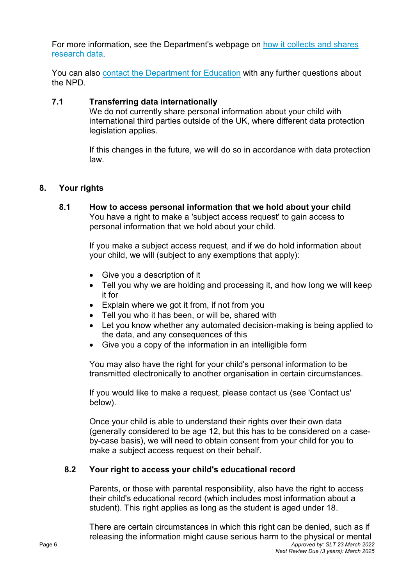For more information, see the Department's webpage on how it collects and shares research data.

You can also contact the Department for Education with any further questions about the NPD.

#### 7.1 Transferring data internationally

We do not currently share personal information about your child with international third parties outside of the UK, where different data protection legislation applies.

If this changes in the future, we will do so in accordance with data protection law.

## 8. Your rights

8.1 How to access personal information that we hold about your child You have a right to make a 'subject access request' to gain access to personal information that we hold about your child.

> If you make a subject access request, and if we do hold information about your child, we will (subject to any exemptions that apply):

- Give you a description of it
- Tell you why we are holding and processing it, and how long we will keep it for
- Explain where we got it from, if not from you
- Tell you who it has been, or will be, shared with
- Let you know whether any automated decision-making is being applied to the data, and any consequences of this
- Give you a copy of the information in an intelligible form

You may also have the right for your child's personal information to be transmitted electronically to another organisation in certain circumstances.

If you would like to make a request, please contact us (see 'Contact us' below).

Once your child is able to understand their rights over their own data (generally considered to be age 12, but this has to be considered on a caseby-case basis), we will need to obtain consent from your child for you to make a subject access request on their behalf.

# 8.2 Your right to access your child's educational record

Parents, or those with parental responsibility, also have the right to access their child's educational record (which includes most information about a student). This right applies as long as the student is aged under 18.

Page 6 **Approved by: SLT 23 March 2022** Next Review Due (3 years): March 2025 There are certain circumstances in which this right can be denied, such as if releasing the information might cause serious harm to the physical or mental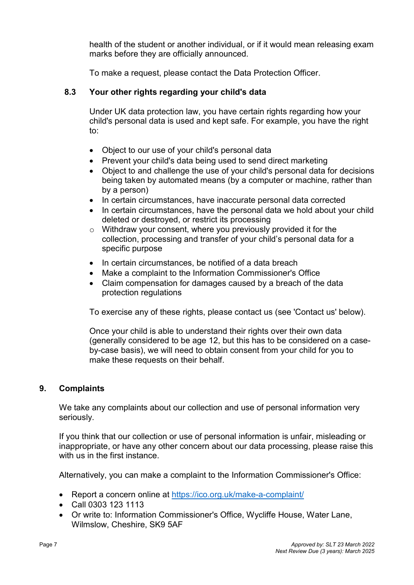health of the student or another individual, or if it would mean releasing exam marks before they are officially announced.

To make a request, please contact the Data Protection Officer.

# 8.3 Your other rights regarding your child's data

Under UK data protection law, you have certain rights regarding how your child's personal data is used and kept safe. For example, you have the right to:

- Object to our use of your child's personal data
- Prevent your child's data being used to send direct marketing
- Object to and challenge the use of your child's personal data for decisions being taken by automated means (by a computer or machine, rather than by a person)
- In certain circumstances, have inaccurate personal data corrected
- In certain circumstances, have the personal data we hold about your child deleted or destroyed, or restrict its processing
- o Withdraw your consent, where you previously provided it for the collection, processing and transfer of your child's personal data for a specific purpose
- In certain circumstances, be notified of a data breach
- Make a complaint to the Information Commissioner's Office
- Claim compensation for damages caused by a breach of the data protection regulations

To exercise any of these rights, please contact us (see 'Contact us' below).

Once your child is able to understand their rights over their own data (generally considered to be age 12, but this has to be considered on a caseby-case basis), we will need to obtain consent from your child for you to make these requests on their behalf.

# 9. Complaints

We take any complaints about our collection and use of personal information very seriously.

If you think that our collection or use of personal information is unfair, misleading or inappropriate, or have any other concern about our data processing, please raise this with us in the first instance.

Alternatively, you can make a complaint to the Information Commissioner's Office:

- Report a concern online at https://ico.org.uk/make-a-complaint/
- Call 0303 123 1113
- Or write to: Information Commissioner's Office, Wycliffe House, Water Lane, Wilmslow, Cheshire, SK9 5AF